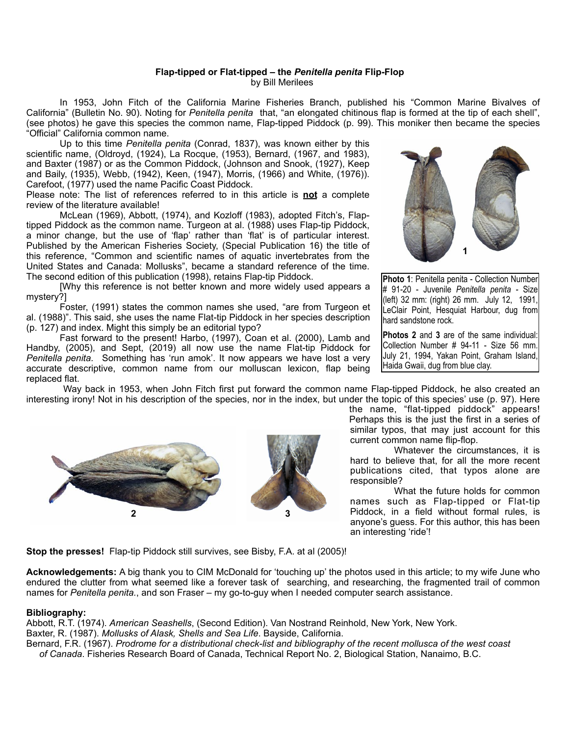## **Flap-tipped or Flat-tipped – the** *Penitella penita* **Flip-Flop** by Bill Merilees

 In 1953, John Fitch of the California Marine Fisheries Branch, published his "Common Marine Bivalves of California" (Bulletin No. 90). Noting for *Penitella penita* that, "an elongated chitinous flap is formed at the tip of each shell", (see photos) he gave this species the common name, Flap-tipped Piddock (p. 99). This moniker then became the species "Official" California common name.

 Up to this time *Penitella penita* (Conrad, 1837), was known either by this scientific name, (Oldroyd, (1924), La Rocque, (1953), Bernard, (1967, and 1983), and Baxter (1987) or as the Common Piddock, (Johnson and Snook, (1927), Keep and Baily, (1935), Webb, (1942), Keen, (1947), Morris, (1966) and White, (1976)). Carefoot, (1977) used the name Pacific Coast Piddock.

Please note: The list of references referred to in this article is **not** a complete review of the literature available!

 McLean (1969), Abbott, (1974), and Kozloff (1983), adopted Fitch's, Flaptipped Piddock as the common name. Turgeon at al. (1988) uses Flap-tip Piddock, a minor change, but the use of 'flap' rather than 'flat' is of particular interest. Published by the American Fisheries Society, (Special Publication 16) the title of this reference, "Common and scientific names of aquatic invertebrates from the United States and Canada: Mollusks", became a standard reference of the time. The second edition of this publication (1998), retains Flap-tip Piddock.

 [Why this reference is not better known and more widely used appears a mystery?]

 Foster, (1991) states the common names she used, "are from Turgeon et al. (1988)". This said, she uses the name Flat-tip Piddock in her species description (p. 127) and index. Might this simply be an editorial typo?

 Fast forward to the present! Harbo, (1997), Coan et al. (2000), Lamb and Handby, (2005), and Sept, (2019) all now use the name Flat-tip Piddock for *Penitella penita.* Something has 'run amok'. It now appears we have lost a very accurate descriptive, common name from our molluscan lexicon, flap being replaced flat.



**Photo 1**: Penitella penita - Collection Number # 91-20 - Juvenile *Penitella penita -* Size (left) 32 mm: (right) 26 mm. July 12, 1991, LeClair Point, Hesquiat Harbour, dug from hard sandstone rock.

**Photos 2** and **3** are of the same individual: Collection Number # 94-11 - Size 56 mm. July 21, 1994, Yakan Point, Graham Island, Haida Gwaii, dug from blue clay.

 Way back in 1953, when John Fitch first put forward the common name Flap-tipped Piddock, he also created an interesting irony! Not in his description of the species, nor in the index, but under the topic of this species' use (p. 97). Here



the name, "flat-tipped piddock" appears! Perhaps this is the just the first in a series of similar typos, that may just account for this current common name flip-flop.

 Whatever the circumstances, it is hard to believe that, for all the more recent publications cited, that typos alone are responsible?

 What the future holds for common names such as Flap-tipped or Flat-tip Piddock, in a field without formal rules, is anyone's guess. For this author, this has been an interesting 'ride'!

**Stop the presses!** Flap-tip Piddock still survives, see Bisby, F.A. at al (2005)!

**Acknowledgements:** A big thank you to CIM McDonald for 'touching up' the photos used in this article; to my wife June who endured the clutter from what seemed like a forever task of searching, and researching, the fragmented trail of common names for *Penitella penita.*, and son Fraser – my go-to-guy when I needed computer search assistance.

## **Bibliography:**

Abbott, R.T. (1974). *American Seashells*, (Second Edition). Van Nostrand Reinhold, New York, New York. Baxter, R. (1987). *Mollusks of Alask, Shells and Sea Life*. Bayside, California.

Bernard, F.R. (1967). *Prodrome for a distributional check-list and bibliography of the recent mollusca of the west coast of Canada*. Fisheries Research Board of Canada, Technical Report No. 2, Biological Station, Nanaimo, B.C.